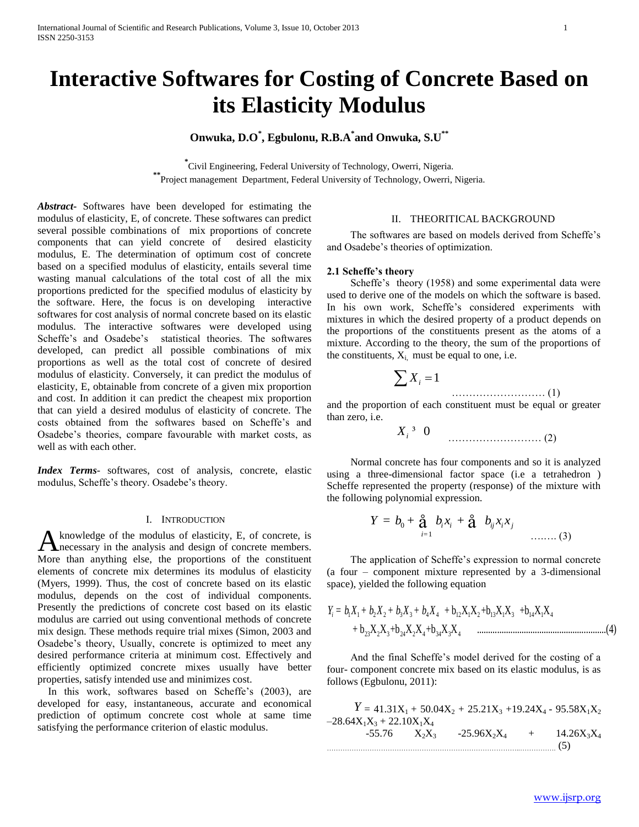# **Interactive Softwares for Costing of Concrete Based on its Elasticity Modulus**

# **Onwuka, D.O\* , Egbulonu, R.B.A\* and Onwuka, S.U\*\***

**\*** Civil Engineering, Federal University of Technology, Owerri, Nigeria. **\*\***Project management Department, Federal University of Technology, Owerri, Nigeria.

*Abstract***-** Softwares have been developed for estimating the modulus of elasticity, E, of concrete. These softwares can predict several possible combinations of mix proportions of concrete components that can yield concrete of desired elasticity modulus, E. The determination of optimum cost of concrete based on a specified modulus of elasticity, entails several time wasting manual calculations of the total cost of all the mix proportions predicted for the specified modulus of elasticity by the software. Here, the focus is on developing interactive softwares for cost analysis of normal concrete based on its elastic modulus. The interactive softwares were developed using Scheffe's and Osadebe's statistical theories. The softwares developed, can predict all possible combinations of mix proportions as well as the total cost of concrete of desired modulus of elasticity. Conversely, it can predict the modulus of elasticity, E, obtainable from concrete of a given mix proportion and cost. In addition it can predict the cheapest mix proportion that can yield a desired modulus of elasticity of concrete. The costs obtained from the softwares based on Scheffe"s and Osadebe"s theories, compare favourable with market costs, as well as with each other.

*Index Terms*- softwares, cost of analysis, concrete, elastic modulus, Scheffe"s theory. Osadebe"s theory.

#### I. INTRODUCTION

knowledge of the modulus of elasticity, E, of concrete, is A knowledge of the modulus of elasticity, E, of concrete, is necessary in the analysis and design of concrete members. More than anything else, the proportions of the constituent elements of concrete mix determines its modulus of elasticity (Myers, 1999). Thus, the cost of concrete based on its elastic modulus, depends on the cost of individual components. Presently the predictions of concrete cost based on its elastic modulus are carried out using conventional methods of concrete mix design. These methods require trial mixes (Simon, 2003 and Osadebe's theory, Usually, concrete is optimized to meet any desired performance criteria at minimum cost. Effectively and efficiently optimized concrete mixes usually have better properties, satisfy intended use and minimizes cost.

In this work, softwares based on Scheffe's (2003), are developed for easy, instantaneous, accurate and economical prediction of optimum concrete cost whole at same time satisfying the performance criterion of elastic modulus.

### II. THEORITICAL BACKGROUND

 The softwares are based on models derived from Scheffe"s and Osadebe"s theories of optimization.

#### **2.1 Scheffe's theory**

Scheffe's theory (1958) and some experimental data were used to derive one of the models on which the software is based. In his own work, Scheffe's considered experiments with mixtures in which the desired property of a product depends on the proportions of the constituents present as the atoms of a mixture. According to the theory, the sum of the proportions of the constituents,  $X_i$  must be equal to one, i.e.

<sup>1</sup> *<sup>X</sup><sup>i</sup>* ……………………… (1)

and the proportion of each constituent must be equal or greater than zero, i.e.

0 *X<sup>i</sup>* ³ ……………………… (2)

 Normal concrete has four components and so it is analyzed using a three-dimensional factor space (i.e a tetrahedron ) Scheffe represented the property (response) of the mixture with

the following polynomial expression.  
\n
$$
Y = b_0 + \mathbf{a} \t b_i x_i + \mathbf{a} \t b_{ij} x_i x_j
$$
\n
$$
\dots \dots \dots (3)
$$

 The application of Scheffe"s expression to normal concrete (a four – component mixture represented by a 3-dimensional

space), yielded the following equation  
\n
$$
Y_i = b_1 X_1 + b_2 X_2 + b_3 X_3 + b_4 X_4 + b_{12} X_1 X_2 + b_{13} X_1 X_3 + b_{14} X_1 X_4 + b_{23} X_2 X_3 + b_{24} X_2 X_4 + b_{34} X_3 X_4
$$
 (4)

 And the final Scheffe"s model derived for the costing of a four- component concrete mix based on its elastic modulus, is as follows (Egbulonu, 2011):

 $Y = 41.31X_1 + 50.04X_2 + 25.21X_3 + 19.24X_4 - 95.58X_1X_2$  $-28.64X_1X_3 + 22.10X_1X_4$ <br>-55.76  $X_2X_3$  $-25.96X_2X_4$  + 14.26 $X_3X_4$ …………………………………………………………………………..……………. (5)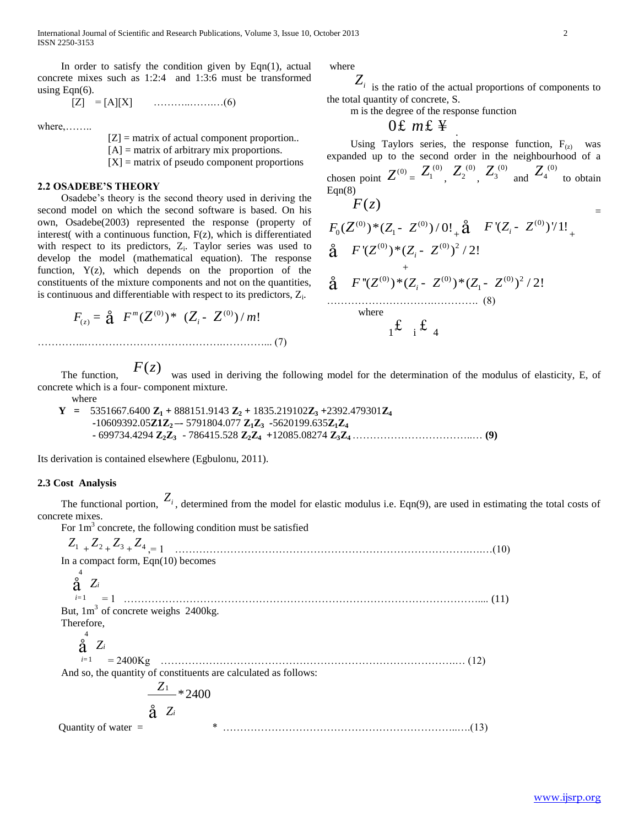In order to satisfy the condition given by  $Eqn(1)$ , actual concrete mixes such as 1:2:4 and 1:3:6 must be transformed using  $Eqn(6)$ .

[Z] = [A][X] ………..…….…(6)

where,……..

 $[Z]$  = matrix of actual component proportion..  $[A]$  = matrix of arbitrary mix proportions.  $[X]$  = matrix of pseudo component proportions

#### **2.2 OSADEBE'S THEORY**

 Osadebe"s theory is the second theory used in deriving the second model on which the second software is based. On his own, Osadebe(2003) represented the response (property of interest( with a continuous function, F(z), which is differentiated with respect to its predictors,  $Z_i$ . Taylor series was used to develop the model (mathematical equation). The response function, Y(z), which depends on the proportion of the constituents of the mixture components and not on the quantities,

is continuous and differentiable with respect to its predictors, 
$$
Z_i
$$
.  
\n
$$
F_{(z)} = \mathbf{\hat{a}} \ F^m (Z^{(0)})^* \ (Z_i - Z^{(0)}) / m!
$$
\n
$$
\dots
$$
\n(7)

where

 $Z_i$  is the ratio of the actual proportions of components to the total quantity of concrete, S.

m is the degree of the response function

# 0£  $mE \ncong$

Using Taylors series, the response function,  $F_{(z)}$  was expanded up to the second order in the neighbourhood of a chosen point  $Z^{(0)} = Z_1^{(0)}$ ,  $Z_2^{(0)}$ ,  $Z_3^{(0)}$  and  $Z_4^{(0)}$  to obtain  $Eqn(8)$  $F(z)$ 

$$
F_0(Z^{(0)})^*(Z_1 - Z^{(0)})/0! \underset{+}{\text{a}} \quad F'(Z_i - Z^{(0)})/1! \underset{+}{\text{a}} \quad F'(Z_i - Z^{(0)})/1! \underset{+}{\text{a}} \quad F'(Z^{(0)})^*(Z_i - Z^{(0)})^2/2! \tag{8}
$$
\n
$$
\underset{\text{where}}{\text{where}} \quad \qquad (8)
$$

 The function,  $F(z)$  was used in deriving the following model for the determination of the modulus of elasticity, E, of concrete which is a four- component mixture.

where

**Y** =  $5351667.6400$   $\mathbb{Z}_1$  + 888151.9143  $\mathbb{Z}_2$  + 1835.219102 $\mathbb{Z}_3$  +2392.479301 $\mathbb{Z}_4$  **-**10609392.05**Z1Z2 –-** 5791804.077 **Z1Z3 -**5620199.635**Z1Z<sup>4</sup> -** 699734.4294 **Z2Z3** - 786415.528 **Z2Z4 +**12085.08274 **Z3Z4** ……………………………..… **(9)**

Its derivation is contained elsewhere (Egbulonu, 2011).

# **2.3 Cost Analysis**

The functional portion,  $Z_i$ , determined from the model for elastic modulus i.e. Eqn(9), are used in estimating the total costs of concrete mixes.

For  $1 \text{ m}^3$  concrete, the following condition must be satisfied

*Z*1 + *Z*2 + *Z*3 + *Z*4 ,= 1 ………………………………………………………………………….….…(10) In a compact form, Eqn(10) becomes 4 1 *i* = = 1 ………………………………………………………………………………………….... (11) *i Z* å But,  $1m<sup>3</sup>$  of concrete weighs 2400kg. Therefore, 4 1 *i* = = 2400Kg ………………………………………………………………………….… (12) *i Z* å And so, the quantity of constituents are calculated as follows: **Quantity of water**  $=$ 1 \*2400 *Z i* å *<sup>Z</sup>* \* …………………………………………………………..….(13)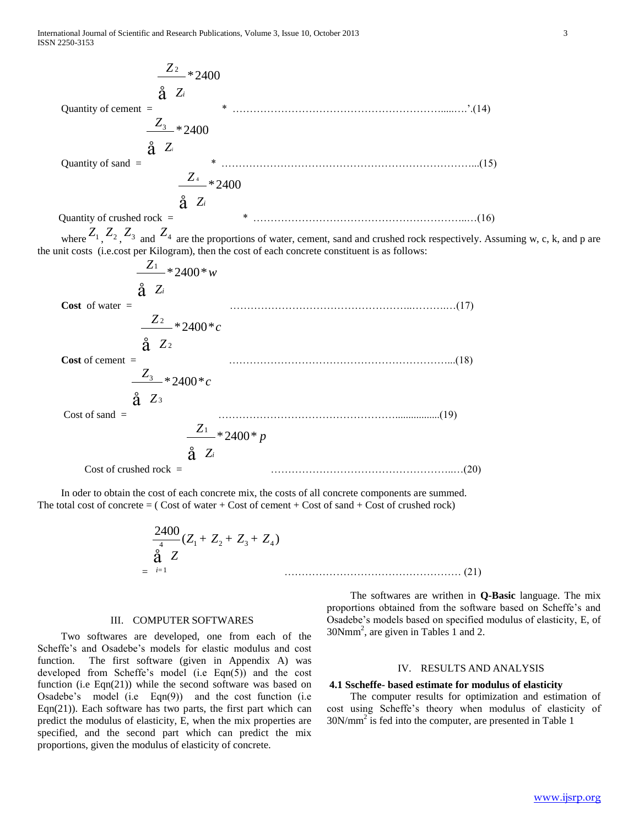Quantity of cement =

\n
$$
\frac{Z_2}{2} \times 2400
$$
\nQuantity of sand =

\n
$$
\frac{Z_3}{2} \times 2400
$$
\nQuantity of sand =

\n
$$
\frac{Z_4}{2} \times 2400
$$
\nQuantity of crude rock =

\n
$$
\frac{Z_5}{2} \times 2400
$$
\nQuantity of cracked rock =

\n
$$
\frac{Z_1}{2} \times 2400
$$
\nNumber =

\n
$$
Z_1, Z_2, Z_3, Z_4, Z_4
$$
\nwhere X<sub>1</sub>, Z<sub>2</sub>, Z<sub>3</sub>, and Z<sub>4</sub> are the proportions of water, cement, sand and crushed rock respectively. Assuming w, c, k, and p are the unit costs (i.e. cost per Kilogram), then the cost of each concrete constituent is as follows:

\n
$$
\frac{Z_1}{2} \times 2400 \times w
$$
\nCost of water =

\n
$$
\frac{Z_2}{2} \times 2400 \times c
$$
\nCost of cement =

\n
$$
\frac{Z_3}{2} \times 2400 \times c
$$
\nCost of sand =

\n
$$
\frac{Z_1}{2} \times 2400 \times p
$$
\nCost of crashed rock =

\n
$$
\frac{Z_1}{2} \times 2400 \times p
$$
\nCost of crushed rock =

\n
$$
\frac{Z_1}{2} \times 2400 \times p
$$
\nCost of crushed rock =

\n
$$
\frac{Z_2}{2} \times 2400 \times w
$$
\nCost of crushed rock =

\n
$$
\frac{Z_3}{2} \times 2400 \times w
$$
\nCost of c. (19)

 In oder to obtain the cost of each concrete mix, the costs of all concrete components are summed. The total cost of concrete  $=$  (Cost of water + Cost of cement + Cost of sand + Cost of crushed rock)

$$
\frac{2400}{\overset{4}{\mathbf{a}}} (Z_1 + Z_2 + Z_3 + Z_4)
$$
\n
$$
= \overset{2400}{\underset{i=1}{\mathbf{a}}} Z \qquad \qquad \dots \qquad \dots \qquad (21)
$$

#### III. COMPUTER SOFTWARES

 Two softwares are developed, one from each of the Scheffe's and Osadebe's models for elastic modulus and cost function. The first software (given in Appendix A) was developed from Scheffe's model (i.e Eqn(5)) and the cost function (i.e Eqn(21)) while the second software was based on Osadebe"s model (i.e Eqn(9)) and the cost function (i.e Eqn(21)). Each software has two parts, the first part which can predict the modulus of elasticity, E, when the mix properties are specified, and the second part which can predict the mix proportions, given the modulus of elasticity of concrete.

 The softwares are writhen in **Q-Basic** language. The mix proportions obtained from the software based on Scheffe"s and Osadebe"s models based on specified modulus of elasticity, E, of 30Nmm<sup>2</sup> , are given in Tables 1 and 2.

## IV. RESULTS AND ANALYSIS

## **4.1 Sscheffe- based estimate for modulus of elasticity**

 The computer results for optimization and estimation of cost using Scheffe"s theory when modulus of elasticity of 30N/mm<sup>2</sup> is fed into the computer, are presented in Table 1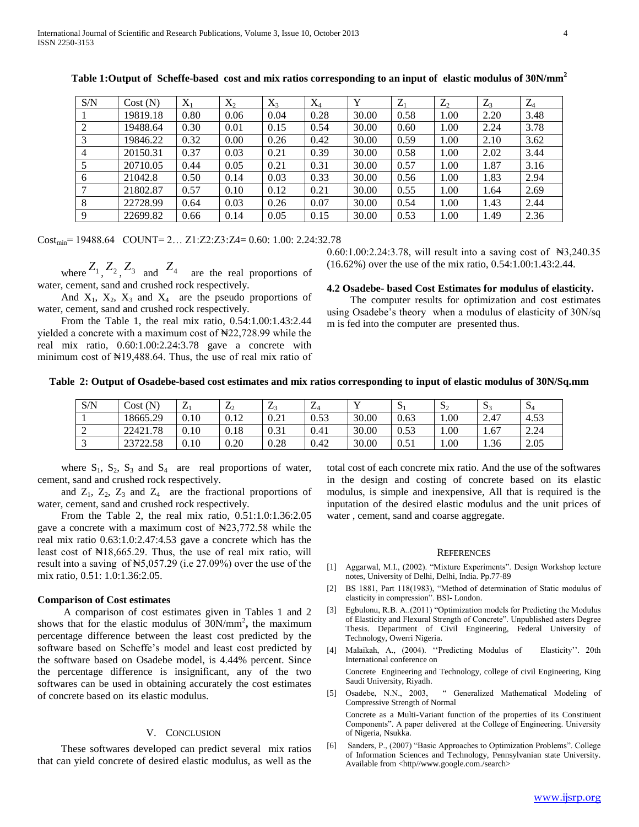| S/N            | Cost(N)  | $X_1$ | $X_2$ | $X_3$ | $X_4$ | $\mathbf{v}$ | $Z_1$ | $Z_2$ | $Z_3$ | $Z_4$ |
|----------------|----------|-------|-------|-------|-------|--------------|-------|-------|-------|-------|
|                | 19819.18 | 0.80  | 0.06  | 0.04  | 0.28  | 30.00        | 0.58  | 1.00  | 2.20  | 3.48  |
| 2              | 19488.64 | 0.30  | 0.01  | 0.15  | 0.54  | 30.00        | 0.60  | 1.00  | 2.24  | 3.78  |
| 3              | 19846.22 | 0.32  | 0.00  | 0.26  | 0.42  | 30.00        | 0.59  | 1.00  | 2.10  | 3.62  |
| $\overline{4}$ | 20150.31 | 0.37  | 0.03  | 0.21  | 0.39  | 30.00        | 0.58  | 1.00  | 2.02  | 3.44  |
|                | 20710.05 | 0.44  | 0.05  | 0.21  | 0.31  | 30.00        | 0.57  | 1.00  | 1.87  | 3.16  |
| 6              | 21042.8  | 0.50  | 0.14  | 0.03  | 0.33  | 30.00        | 0.56  | 1.00  | 1.83  | 2.94  |
|                | 21802.87 | 0.57  | 0.10  | 0.12  | 0.21  | 30.00        | 0.55  | 1.00  | 1.64  | 2.69  |
| 8              | 22728.99 | 0.64  | 0.03  | 0.26  | 0.07  | 30.00        | 0.54  | 1.00  | 1.43  | 2.44  |
| 9              | 22699.82 | 0.66  | 0.14  | 0.05  | 0.15  | 30.00        | 0.53  | 1.00  | 1.49  | 2.36  |

**Table 1:Output of Scheffe-based cost and mix ratios corresponding to an input of elastic modulus of 30N/mm<sup>2</sup>**

 $Cost_{\text{min}} = 19488.64$  COUNT= 2... Z1:Z2:Z3:Z4= 0.60: 1.00: 2.24:32.78

where  $Z_1$ ,  $Z_2$ ,  $Z_3$  and  $Z_4$  are the real proportions of water, cement, sand and crushed rock respectively.

And  $X_1$ ,  $X_2$ ,  $X_3$  and  $X_4$  are the pseudo proportions of water, cement, sand and crushed rock respectively.

 From the Table 1, the real mix ratio, 0.54:1.00:1.43:2.44 yielded a concrete with a maximum cost of  $\frac{122,728.99}{1000}$  while the real mix ratio, 0.60:1.00:2.24:3.78 gave a concrete with minimum cost of N<sub>19</sub>,488.64. Thus, the use of real mix ratio of 0.60:1.00:2.24:3.78, will result into a saving cost of  $\mathbb{H}3,240.35$ (16.62%) over the use of the mix ratio, 0.54:1.00:1.43:2.44.

#### **4.2 Osadebe- based Cost Estimates for modulus of elasticity.**

 The computer results for optimization and cost estimates using Osadebe"s theory when a modulus of elasticity of 30N/sq m is fed into the computer are presented thus.

#### **Table 2: Output of Osadebe-based cost estimates and mix ratios corresponding to input of elastic modulus of 30N/Sq.mm**

| S/N | (N)<br>Cost | Δi   | ∠∩           | LЗ   | –<br>$\overline{ }$ |       | ມ    | D.   | D.   | $\mathbf{D}$ |
|-----|-------------|------|--------------|------|---------------------|-------|------|------|------|--------------|
|     | 18665.29    | 0.10 | 0.12<br>V.IZ | 0.21 | 0.53                | 30.00 | 0.63 | 00.1 | 2.47 | 4.53         |
| ∸   | 22421.78    | 0.10 | 0.18         | 0.31 | 0.41                | 30.00 | 0.53 | 00.1 | 1.67 | 2.24         |
| ◡   | 23722.58    | 0.10 | 0.20         | 0.28 | 0.42                | 30.00 | 0.51 | 1.00 | 1.36 | 2.05         |

where  $S_1$ ,  $S_2$ ,  $S_3$  and  $S_4$  are real proportions of water, cement, sand and crushed rock respectively.

and  $Z_1$ ,  $Z_2$ ,  $Z_3$  and  $Z_4$  are the fractional proportions of water, cement, sand and crushed rock respectively.

 From the Table 2, the real mix ratio, 0.51:1.0:1.36:2.05 gave a concrete with a maximum cost of  $\text{N}23,772.58$  while the real mix ratio 0.63:1.0:2.47:4.53 gave a concrete which has the least cost of ₦18,665.29. Thus, the use of real mix ratio, will result into a saving of ₦5,057.29 (i.e 27.09%) over the use of the mix ratio, 0.51: 1.0:1.36:2.05.

#### **Comparison of Cost estimates**

 A comparison of cost estimates given in Tables 1 and 2 shows that for the elastic modulus of  $30N/mm^2$ , the maximum percentage difference between the least cost predicted by the software based on Scheffe"s model and least cost predicted by the software based on Osadebe model, is 4.44% percent. Since the percentage difference is insignificant, any of the two softwares can be used in obtaining accurately the cost estimates of concrete based on its elastic modulus.

#### V. CONCLUSION

 These softwares developed can predict several mix ratios that can yield concrete of desired elastic modulus, as well as the total cost of each concrete mix ratio. And the use of the softwares in the design and costing of concrete based on its elastic modulus, is simple and inexpensive, All that is required is the inputation of the desired elastic modulus and the unit prices of water , cement, sand and coarse aggregate.

#### **REFERENCES**

- [1] Aggarwal, M.I., (2002). "Mixture Experiments". Design Workshop lecture notes, University of Delhi, Delhi, India. Pp.77-89
- [2] BS 1881, Part 118(1983), "Method of determination of Static modulus of elasticity in compression". BSI- London.
- [3] Egbulonu, R.B. A..(2011) "Optimization models for Predicting the Modulus of Elasticity and Flexural Strength of Concrete". Unpublished asters Degree Thesis. Department of Civil Engineering, Federal University of Technology, Owerri Nigeria.
- [4] Malaikah, A., (2004). "Predicting Modulus of Elasticity". 20th International conference on Concrete Engineering and Technology, college of civil Engineering, King Saudi University, Riyadh. [5] Osadebe, N.N., 2003, " Generalized Mathematical Modeling of
- Compressive Strength of Normal Concrete as a Multi-Variant function of the properties of its Constituent Components". A paper delivered at the College of Engineering. University
- of Nigeria, Nsukka. [6] Sanders, P., (2007) "Basic Approaches to Optimization Problems". College of Information Sciences and Technology, Pennsylvanian state University. Available from <http//www.google.com./search>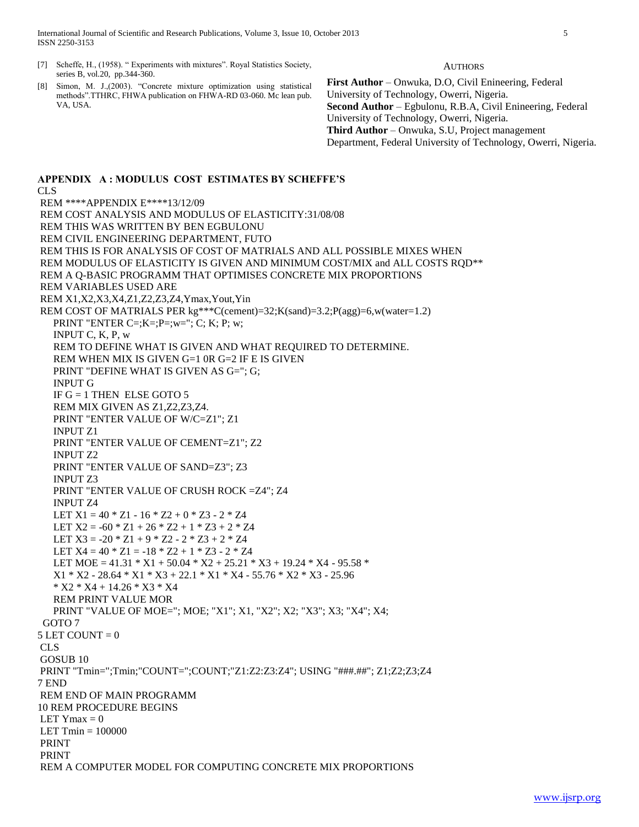International Journal of Scientific and Research Publications, Volume 3, Issue 10, October 2013 5 ISSN 2250-3153

- [7] Scheffe, H., (1958). " Experiments with mixtures". Royal Statistics Society, series B, vol.20, pp.344-360.
- [8] Simon, M. J.,(2003). "Concrete mixture optimization using statistical methods".TTHRC, FHWA publication on FHWA-RD 03-060. Mc lean pub. VA, USA.

**AUTHORS** 

**First Author** – Onwuka, D.O, Civil Enineering, Federal University of Technology, Owerri, Nigeria. **Second Author** – Egbulonu, R.B.A, Civil Enineering, Federal University of Technology, Owerri, Nigeria. **Third Author** – Onwuka, S.U, Project management Department, Federal University of Technology, Owerri, Nigeria.

#### **APPENDIX A : MODULUS COST ESTIMATES BY SCHEFFE'S**

CLS REM \*\*\*\*APPENDIX E\*\*\*\*13/12/09 REM COST ANALYSIS AND MODULUS OF ELASTICITY:31/08/08 REM THIS WAS WRITTEN BY BEN EGBULONU REM CIVIL ENGINEERING DEPARTMENT, FUTO REM THIS IS FOR ANALYSIS OF COST OF MATRIALS AND ALL POSSIBLE MIXES WHEN REM MODULUS OF ELASTICITY IS GIVEN AND MINIMUM COST/MIX and ALL COSTS RQD\*\* REM A Q-BASIC PROGRAMM THAT OPTIMISES CONCRETE MIX PROPORTIONS REM VARIABLES USED ARE REM X1,X2,X3,X4,Z1,Z2,Z3,Z4,Ymax,Yout,Yin REM COST OF MATRIALS PER  $kg^{***}C$ (cement)=32;K(sand)=3.2;P(agg)=6,w(water=1.2) **PRINT "ENTER C=;K=;P=;w="; C; K; P; w;**  INPUT C, K, P, w REM TO DEFINE WHAT IS GIVEN AND WHAT REQUIRED TO DETERMINE. REM WHEN MIX IS GIVEN G=1 0R G=2 IF E IS GIVEN PRINT "DEFINE WHAT IS GIVEN AS G="; G; INPUT G IF  $G = 1$  THEN ELSE GOTO 5 REM MIX GIVEN AS Z1,Z2,Z3,Z4. PRINT "ENTER VALUE OF W/C=Z1"; Z1 INPUT Z1 PRINT "ENTER VALUE OF CEMENT=Z1"; Z2 INPUT Z2 PRINT "ENTER VALUE OF SAND=Z3"; Z3 INPUT Z3 PRINT "ENTER VALUE OF CRUSH ROCK =Z4"; Z4 INPUT Z4 LET  $X1 = 40 * Z1 - 16 * Z2 + 0 * Z3 - 2 * Z4$ LET  $X2 = -60 * Z1 + 26 * Z2 + 1 * Z3 + 2 * Z4$ LET  $X3 = -20 * Z1 + 9 * Z2 - 2 * Z3 + 2 * Z4$ LET  $X4 = 40 * Z1 = -18 * Z2 + 1 * Z3 - 2 * Z4$ LET MOE =  $41.31 * X1 + 50.04 * X2 + 25.21 * X3 + 19.24 * X4 - 95.58 *$  $X1 * X2 - 28.64 * X1 * X3 + 22.1 * X1 * X4 - 55.76 * X2 * X3 - 25.96$  $*$  X2  $*$  X4 + 14.26  $*$  X3  $*$  X4 REM PRINT VALUE MOR PRINT "VALUE OF MOE="; MOE; "X1"; X1, "X2"; X2; "X3"; X3; "X4"; X4; GOTO 7  $5$  LET COUNT = 0 CLS GOSUB 10 PRINT "Tmin=";Tmin;"COUNT=";COUNT;"Z1:Z2:Z3:Z4"; USING "###.##"; Z1;Z2;Z3;Z4 7 END REM END OF MAIN PROGRAMM 10 REM PROCEDURE BEGINS LET  $Y$ max = 0 LET  $Tmin = 100000$ PRINT PRINT REM A COMPUTER MODEL FOR COMPUTING CONCRETE MIX PROPORTIONS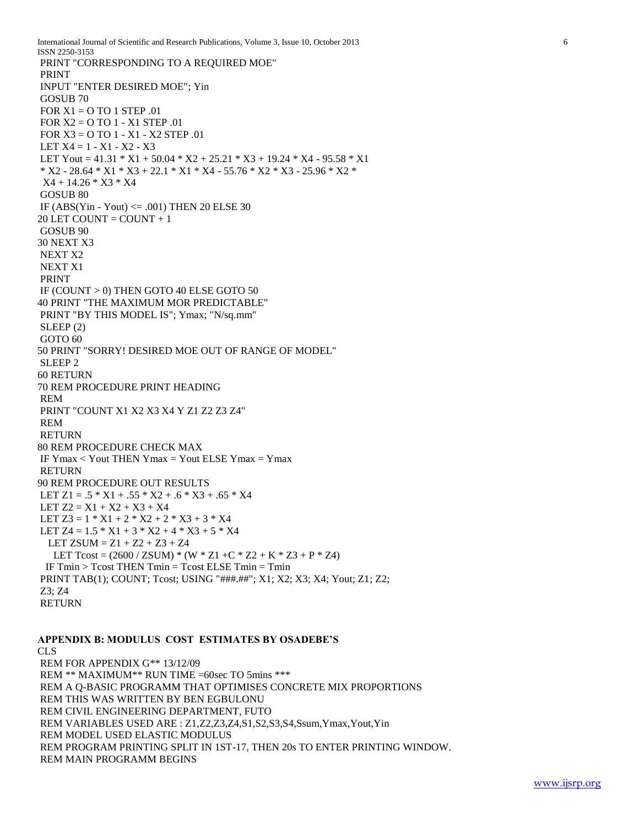International Journal of Scientific and Research Publications, Volume 3, Issue 10, October 2013 6 ISSN 2250-3153 PRINT "CORRESPONDING TO A REQUIRED MOE" PRINT INPUT "ENTER DESIRED MOE"; Yin GOSUB 70 FOR  $X1 = 0$  TO 1 STEP .01 FOR X2 = O TO 1 - X1 STEP .01 FOR X3 = O TO 1 - X1 - X2 STEP .01 LET  $X4 = 1 - X1 - X2 - X3$ LET Yout =  $41.31 * X1 + 50.04 * X2 + 25.21 * X3 + 19.24 * X4 - 95.58 * X1$  $*$  X2 - 28.64  $*$  X1  $*$  X3 + 22.1  $*$  X1  $*$  X4 - 55.76  $*$  X2  $*$  X3 - 25.96  $*$  X2  $*$  X4 + 14.26 \* X3 \* X4 GOSUB 80 IF  $(ABS(Yin - Youth) \le .001)$  THEN 20 ELSE 30  $20$  LET COUNT = COUNT + 1 GOSUB 90 30 NEXT X3 NEXT X2 NEXT X1 PRINT IF (COUNT > 0) THEN GOTO 40 ELSE GOTO 50 40 PRINT "THE MAXIMUM MOR PREDICTABLE" PRINT "BY THIS MODEL IS"; Ymax; "N/sq.mm" SLEEP (2) GOTO 60 50 PRINT "SORRY! DESIRED MOE OUT OF RANGE OF MODEL" SLEEP 2 60 RETURN 70 REM PROCEDURE PRINT HEADING REM PRINT "COUNT X1 X2 X3 X4 Y Z1 Z2 Z3 Z4" REM RETURN 80 REM PROCEDURE CHECK MAX IF Ymax < Yout THEN Ymax = Yout ELSE Ymax = Ymax RETURN 90 REM PROCEDURE OUT RESULTS LET  $Z1 = .5 * X1 + .55 * X2 + .6 * X3 + .65 * X4$ LET  $Z2 = X1 + X2 + X3 + X4$ LET  $Z3 = 1 * X1 + 2 * X2 + 2 * X3 + 3 * X4$ LET Z4 =  $1.5 * X1 + 3 * X2 + 4 * X3 + 5 * X4$ LET ZSUM =  $Z1 + Z2 + Z3 + Z4$ LET Tcost =  $(2600 / ZSUM)*$  (W  $*$  Z1 +C  $*$  Z2 + K  $*$  Z3 + P  $*$  Z4) IF Tmin > Tcost THEN Tmin = Tcost ELSE Tmin = Tmin PRINT TAB(1); COUNT; Tcost; USING "###.##"; X1; X2; X3; X4; Yout; Z1; Z2; Z3; Z4 RETURN

# **APPENDIX B: MODULUS COST ESTIMATES BY OSADEBE'S**

# CLS

REM FOR APPENDIX G\*\* 13/12/09 REM \*\* MAXIMUM\*\* RUN TIME =60sec TO 5mins \*\*\* REM A Q-BASIC PROGRAMM THAT OPTIMISES CONCRETE MIX PROPORTIONS REM THIS WAS WRITTEN BY BEN EGBULONU REM CIVIL ENGINEERING DEPARTMENT, FUTO REM VARIABLES USED ARE : Z1,Z2,Z3,Z4,S1,S2,S3,S4,Ssum,Ymax,Yout,Yin REM MODEL USED ELASTIC MODULUS REM PROGRAM PRINTING SPLIT IN 1ST-17, THEN 20s TO ENTER PRINTING WINDOW. REM MAIN PROGRAMM BEGINS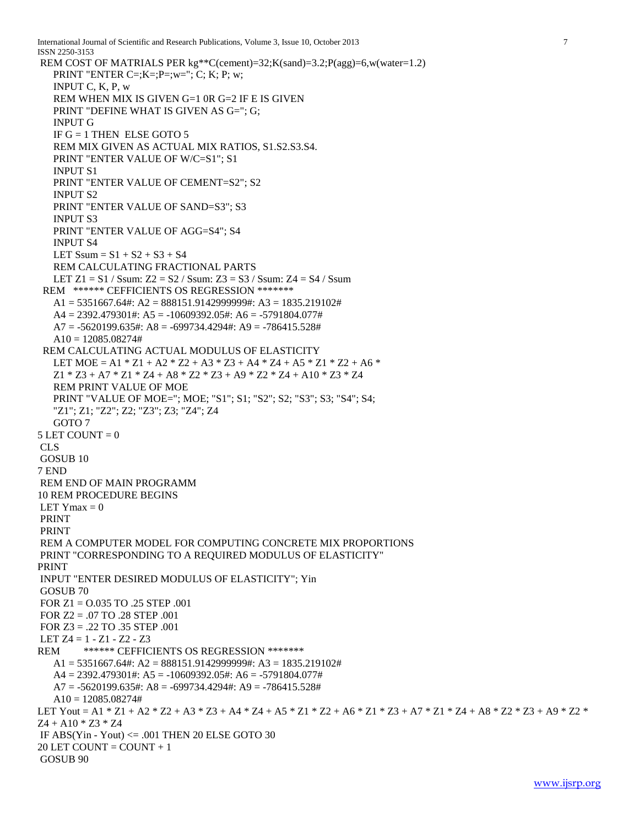```
International Journal of Scientific and Research Publications, Volume 3, Issue 10, October 2013 7
ISSN 2250-3153 
REM COST OF MATRIALS PER kg**C(cement)=32;K(sand)=3.2;P(agg)=6,w(water=1.2)
   PRINT "ENTER C = ; K = ; P = ; w = "; C; K; P; w; INPUT C, K, P, w
    REM WHEN MIX IS GIVEN G=1 0R G=2 IF E IS GIVEN
    PRINT "DEFINE WHAT IS GIVEN AS G="; G;
    INPUT G
   IF G = 1 THEN ELSE GOTO 5
    REM MIX GIVEN AS ACTUAL MIX RATIOS, S1.S2.S3.S4.
    PRINT "ENTER VALUE OF W/C=S1"; S1
    INPUT S1
    PRINT "ENTER VALUE OF CEMENT=S2"; S2
    INPUT S2
    PRINT "ENTER VALUE OF SAND=S3"; S3
    INPUT S3
    PRINT "ENTER VALUE OF AGG=S4"; S4
    INPUT S4
   LET Ssum = S1 + S2 + S3 + S4 REM CALCULATING FRACTIONAL PARTS
   LET Z_1 = S_1 / Ssum: Z_2 = S_2 / Ssum: Z_3 = S_3 / Ssum: Z_4 = S_4 / Ssum REM ****** CEFFICIENTS OS REGRESSION *******
   A1 = 5351667.64\text{#}: A2 = 888151.9142999999\text{#}: A3 = 1835.219102\text{#} A4 = 2392.479301#: A5 = -10609392.05#: A6 = -5791804.077#
   A7 = -5620199.635#: A8 = -699734.4294#: A9 = -786415.528#
   A10 = 12085.08274# REM CALCULATING ACTUAL MODULUS OF ELASTICITY
   LET MOE = A1 * Z1 + A2 * Z2 + A3 * Z3 + A4 * Z4 + A5 * Z1 * Z2 + A6 *
   Z1 * Z3 + A7 * Z1 * Z4 + A8 * Z2 * Z3 + A9 * Z2 * Z4 + A10 * Z3 * Z4 REM PRINT VALUE OF MOE
    PRINT "VALUE OF MOE="; MOE; "S1"; S1; "S2"; S2; "S3"; S3; "S4"; S4; 
    "Z1"; Z1; "Z2"; Z2; "Z3"; Z3; "Z4"; Z4
    GOTO 7
5 LET COUNT = 0CLS
GOSUB 10
7 END
REM END OF MAIN PROGRAMM
10 REM PROCEDURE BEGINS
LET Ymax = 0
PRINT
PRINT
REM A COMPUTER MODEL FOR COMPUTING CONCRETE MIX PROPORTIONS
PRINT "CORRESPONDING TO A REQUIRED MODULUS OF ELASTICITY"
PRINT
INPUT "ENTER DESIRED MODULUS OF ELASTICITY"; Yin
GOSUB 70
FOR Z1 = O.035 TO .25 STEP .001
FOR Z2 = .07 TO .28 STEP .001
FOR Z3 = .22 TO .35 STEP .001
LET Z4 = 1 - Z1 - Z2 - Z3REM ****** CEFFICIENTS OS REGRESSION *******
   A1 = 5351667.64\text{#}: A2 = 888151.9142999999\text{#}: A3 = 1835.219102\text{#}A4 = 2392.479301\text{#}: A5 = -10609392.05\text{#}: A6 = -5791804.077\text{#}A7 = -5620199.635#: A8 = -699734.4294#: A9 = -786415.528#
   A10 = 12085.08274#LET Yout = A1 * Z1 + A2 * Z2 + A3 * Z3 + A4 * Z4 + A5 * Z1 * Z2 + A6 * Z1 * Z3 + A7 * Z1 * Z4 + A8 * Z2 * Z3 + A9 * Z2 * 
Z4 + A10 * Z3 * Z4IF ABS(Yin - Yout) \leq 0.01 THEN 20 ELSE GOTO 30
20 LET COUNT = COUNT + 1
GOSUB 90
```